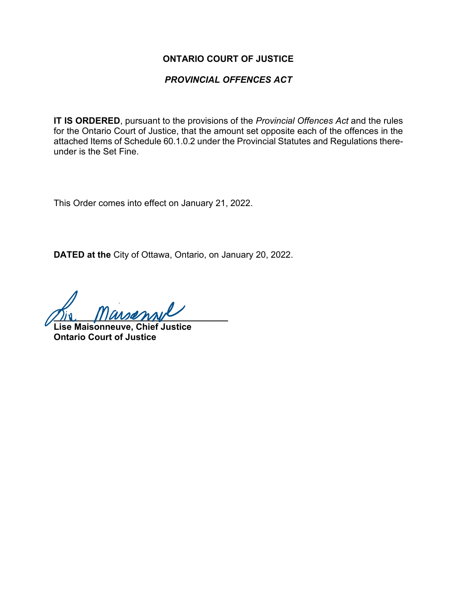#### **ONTARIO COURT OF JUSTICE**

### *PROVINCIAL OFFENCES ACT*

**IT IS ORDERED**, pursuant to the provisions of the *Provincial Offences Act* and the rules for the Ontario Court of Justice, that the amount set opposite each of the offences in the attached Items of Schedule 60.1.0.2 under the Provincial Statutes and Regulations thereunder is the Set Fine.

This Order comes into effect on January 21, 2022.

**DATED at the** City of Ottawa, Ontario, on January 20, 2022.

 $\frac{1}{2}$ 

**Lise Maisonneuve, Chief Justice Ontario Court of Justice**